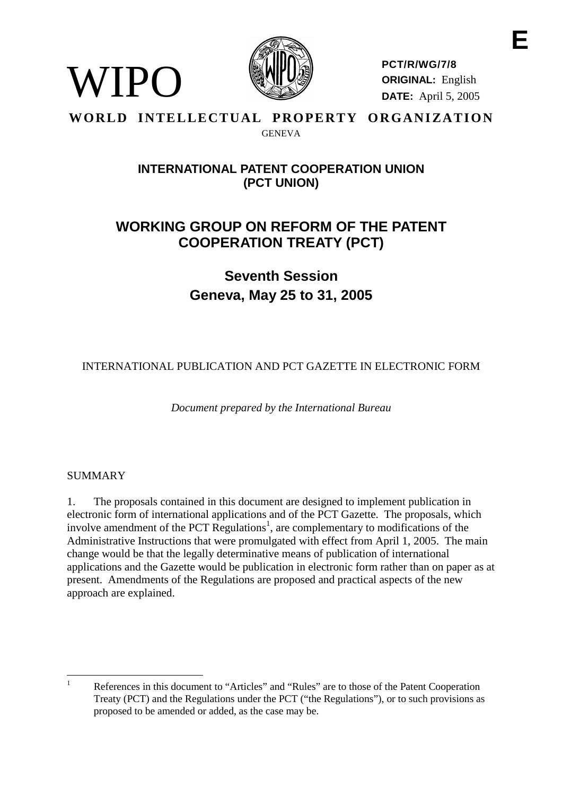

**PCT/R/WG/7/8 ORIGINAL:** English **DATE:** April 5, 2005

# **WORLD INTELLECTUAL PROPERTY ORGANIZATION GENEVA**

# **INTERNATIONALPATENT COOPERATIONUNION (PCT UNION)**

# **WORKING GROUP ON REF ORM OF THE PATENT COOPERATION TREATY ( PCT)**

**Seventh Session Geneva, Ma y 25 to 31, 2005**

INTERNATIONAL PUBLICATION AND PCTGAZETTE IN ELECTRONIC FORM

*Document prepared by the International Bureau*

# **SUMMARY**

WIPO

1. The proposals contained in this document are designed to implement publication in electronicf orm of international applications and of the PCT Gazette. The proposals, which involve amendment of the PCTR egulations  $\frac{1}{2}$ , are complementary to modifications of the Administrative Instructions that were promulgated with effect from April 1, 2005. The main change would be that the legally determinative means of publication of international applications and the Gazette would be publication in electronic form rather than on paper as at present. Amendments of the Regulations are proposed and practical aspects of the new approachare explained.

<sup>&</sup>lt;sup>1</sup> References in this document to "Articles" and "Rules" are to those of the Patent Cooperation Treaty (PCT) and the Regulations under the PCT ("the Regulations"), orto such provisions as proposedt obeamendedoradded, as the case may be.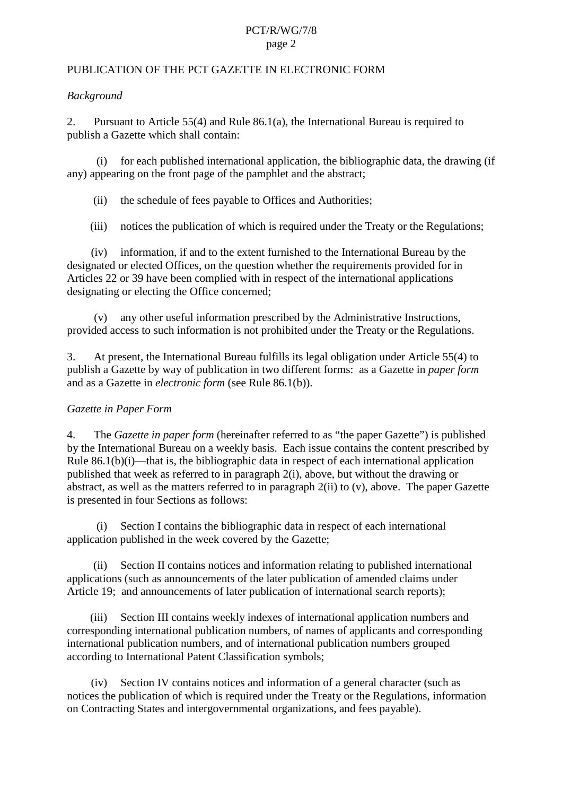# PCT/R/WG/7/8 page 2

#### PUBLICATION OF THE PCT GAZETTE IN ELECTRONIC FORM

#### *Background*

2. Pursuant to Article 55(4) and Rule 86.1(a), the International Bureau is required to publisha Gazette which shall contain:

 $(i)$  for each published international application, the bibliographic data, the drawing (if any) appearing on the front page of the pamphlet and the abstract;

(ii) the schedule of fees payable to Offices and Author ities;

(iii) notices the publication of which is required under the Treaty or the Regulations;

(iv) information, if and to the extent furnished to the International Bureau by the designated or elected Offices, on the question whether the requirements provided for in Articles 22 or 39 have been complied with in respect of the international applications designating or electing the Office concerned;

(v) any other useful information prescri bed by the Administrative Instructions, provided access to such information is not prohibited under the Treaty or the Regulations.

3. At present, the International Bureau fulfills its legal obligation under Article 55(4) to publisha Gazette by way of publication in two different forms: as a Gazette in *paper form* and as a Gazettein *electronic form* (see Rule 86.1(b)).

#### *Gazette in Paper Form*

4. The *Gazettein paper form* (hereinafter referred to as "the paper Gazette") is published by the International Bureau on a weekly basis. Each is sue contains the content prescribed by Rule  $86.1(b)(i)$ —that is, the bibliographic data in respect of each international application published that week as referred to in paragra ph 2(i), above, but without the drawing or abstract, as well as the matters referred to in paragraph 2(ii) to (v), above. The paper Gazette is presented in four Sections a sfollows:

(i) Section I contains the bibliographic data in respect of each international application published in the week covered by the Gazette;

(ii) Section II contains notices and information relating t o published international applications (such as announcements of the later publication of amended claims under Article 19; and announcements of later publication of international search reports);

(iii) SectionIII contains weekly in dexes of international application numbers and corresponding international publication numbers, of names of applicants and corresponding international publication numbers, and of international publication numbers grouped according to International Patent C lassifications ymbols;

(iv) Section IV contains notices and information of a general character (such as notices the publication of which is required under the Treaty or the Regulations, information on Contracting States and intergov ernmental organizations, and fees payable).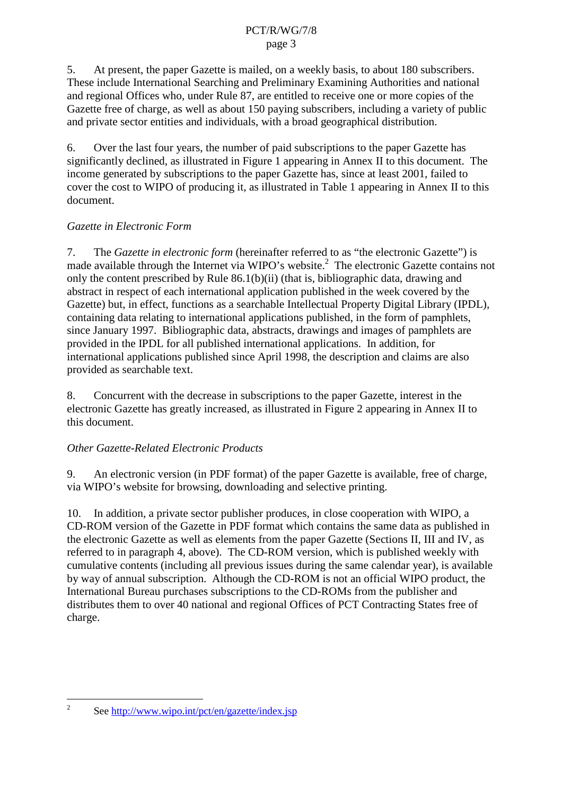## PCT/R/WG/7/8 page 3

5. At present, the paper Gazette is mailed, on a weekly basis, to about 180 subscribers. These include International Searching and Preliminary Examining Authorities and national and regi onal Offices who, under Rule 87, are entitled to receive one or more copies of the Gazette free of charge, as well as about 150 paying subscribers, including a variety of public and private sector entities and individuals, with a broad geographical distribution.

6. Overthe last four years, the number of paid subscriptions to the paper Gazette has significantly declined, as illustrated in Figure 1 appearing in Annex II to this document. The income generated by subscriptions to the paper Gazette has, since at least 2001, failed to cover the cost to WIPO of producing it, as illustrated in Table 1 appearing in Annex II to this document.

# *Gazette in Electronic Form*

7. The *Gazetteinelectronicform* (hereinafter referredtoas "the electronic Gazette") is made available through the Internet via WIPO's website.  ${}^{2}$ The electronic Gazette contains not only the content prescribed by Rule  $86.1(b)(ii)$  (that is, bibliographic data, drawing and abstractinespect of each international application published in the week covered by the Gazette) but, in effect, functions as a searchable Intellectual Property Digital Library (IPDL), containing datarelating to international applications published, in the form of pamphlets, since January 1997. Bibliographic data, abstracts, drawings and images of pamphlets are provided in the IPDL for all published international applications. In addition, for international applications published since April 1998, the description and claims are also provided as searchable text.

8. Concurrent with the decrease in subscriptions to the paper Gazette, interest in the electronic Gazette has greatly increased, as illustrated in Figure 2 appearing in Annex II to this document.

# *Other Gazette -Related Electronic Products*

9. An electronic version (in PDF format) of the paper Gazette is available, free of charge, via WIPO's website for browsing, downloading and selective printing.

10. In addition, a private sector publisher produces, inclose cooperation with WIPO, a CD-ROM version of the Gazette in PDF format which contains the same data as published in the electronic Gazette as well as elements from the paper Gazette (Sections II, III and IV, as referred to inparagraph 4, above). The CD -ROM version, which is published weekly with cumulative contents (including all previous issues during the same calendar year), is available by way of annual subscription. Although the CD -ROM is not an official WIPO product, the International Bureau purchases subscriptions to the CD -ROMs from the publisher and distributes them to over 40 national and regional Offices of PCT Contracting States free of charge.

<sup>&</sup>lt;sup>2</sup> See http://www.wipo.int/pct/en/gazette/index.jsp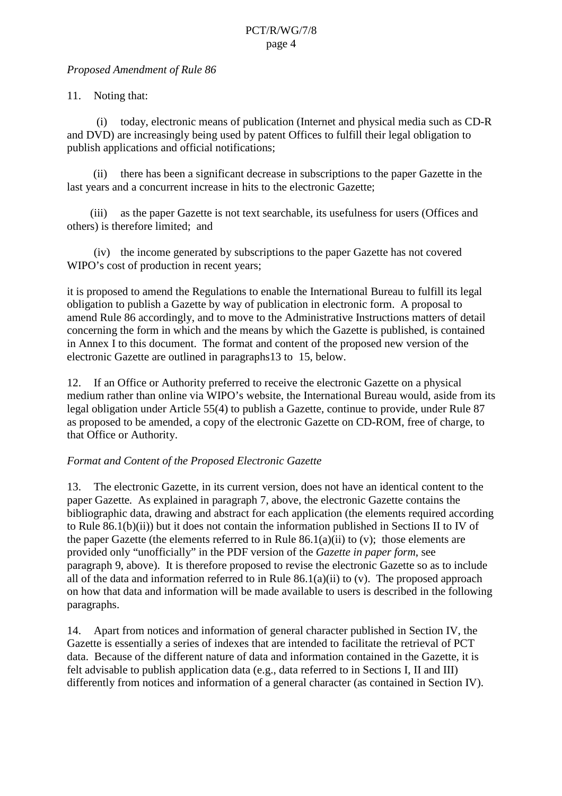## *Proposed Amend ment of Rule 86*

# 11. Noting that:

(i) today, electronic means of publication (Internet and physical media such as CD -R and DVD) are increasingly being used by patent Offices to fulfill their legal obligation to publish applications and official notifications;

(ii) there has been a significant decrease in subscriptions to the paper Gazette in the last years and a concurrent increase in hits to the electronic Gazette;

(iii) as the paper Gazette is not text searchable, its usefulness for users (Offices and others) is therefore limited; and

(iv) the income generated by subscriptions to the paper Gazette has not covered WIPO's cost of production in recent years;

itis proposed to amend the Regulations to enable the International Bureau to fulfill its legal obligation to publish a Gazette by way of publication in electronic form. A proposal to amend Rule 86 accordingly, and to move to the Adminis trative Instructions matters of detail concerning the form in which and the means by which the Gazette is published, is contained in Annex I to this document. The format and content of the proposed new version of the electronic Gazette are outlined in para a graphs 3to 15, below.

12. If an Office or Authority preferred to receive the electronic Gazette on a physical medium rather than online via WIPO's website, the International Bureau would, as ide from its legal obligation under Article 55(4) to publish a Gazette, continue to provide, under Rule 87 as proposed to be amended, a copy of the electronic Gazette on CD -ROM, free of charge, to that Office or Authority.

# *Format and Cont ent of the Proposed Electronic Gazette*

13. The electronic Gazette, in its current version, does not have an identical content to the paper Gazette *.* As explained in paragraph 7, above, the electronic Gaze tte contains the bibliographic data, drawing and abstract for each application (the elements required according to Rule 86.1(b)(ii)) but it does not contain the information published in Sections II to IV of the paper Gazette (the elements referred to in Ru le  $86.1(a)(ii)$  to (v); those elements are provided only "unofficially" in the PDF version of the *Gazette in paper form*, see paragraph 9, above). It is therefore proposed to revise the electronic Gazette so as to include all of the data and information referred to in Rule  $86.1(a)(ii)$  to  $(v)$ . The proposed approach on how that data and information will be made available to users is described in the following paragraphs.

14. Apart from notices and informati on of general character published in Section IV, the Gazetteisessentiallyaseries of indexes that are intended to facilitate the retrieval of PCT data. Because of the different nature of data and information contained in the Gazette, it is feltadvisab letopublish application data (e.g., data referred to in Sections I, Hand III) differently from notices and information of a general character (as contained in Section IV).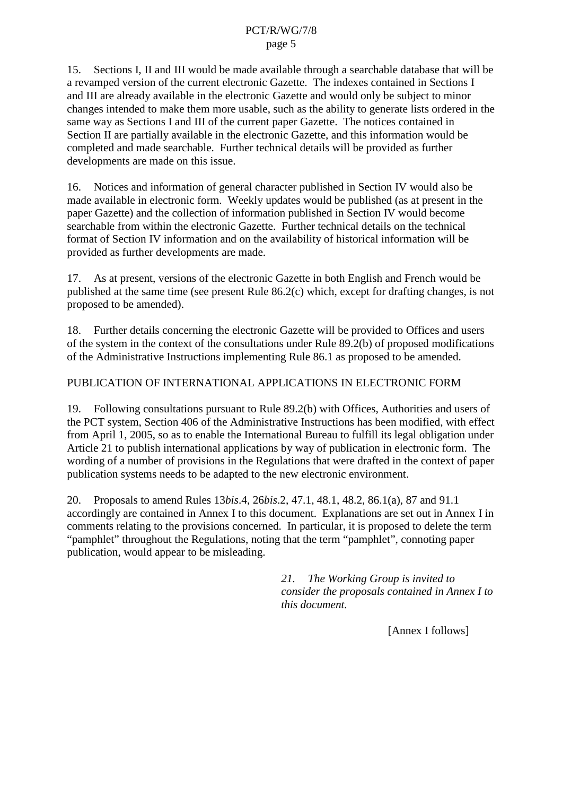15. Sections I, II and III would be made available thro ugh a searchable database that will be a revamped version of the current electronic Gazette. The indexes contained in Sections I and III are already available in the electronic Gazette and would only be subject to minor changes intended to make them more usable, such as the ability to generate lists ordered in the sameway as Sections I and III of the current paper Gazette. The notices contained in Section II are partially available in the electronic Gazette, and this information would be completed and ma desearchable. Further technical details will be provided as further developments are made on this issue.

16. Notices and information of general character published in Section IV would also be made available in electronic form. We ekly updates would be published (as at present in the paper Gazette) and the collection of information published in Section IV would become searchable from within the electronic Gazette. Further technical details on the technical format of Section IV info rmation and on the availability of historical information will be provided as further developments are made.

17. As at present, versions of the electronic Gazette in both English and French would be published at the same time (seep resent Rule  $86.2(c)$  which, except for drafting changes, is not proposed to beamended).

18. Further details concerning the electronic Gazette will be provided to Offices and users of the system in the context of the consultations under Rule 89.2(b) of proposed modifications of the Administrative Instructions implementing Rule 86.1 as proposed to be amended.

# PUBLICATION OF INTERNATIONAL APPLICATIONS IN ELECTRONIC FORM

19. Following consultations pursuant to Ru le 89.2(b) with Offices, Authorities and users of the PCT system, Section 406 of the Administrative Instructions has been modified, with effect from April 1, 2005, so as to enable the International Bureau to fulfill its legal obligation under Article 21 to publish international applications by way of publication in electronic form. The wording of a number of provisions in the Regulations that we redrafted in the context of paper publication systems needs to be adapted to the new electronic environment.

20. Proposalstoamend Rules 13 *bis.*4, 26 *bis.*2, 47.1, 48.1, 48.2, 86.1(a), 87 and 91.1 accordingly are contained in Annex I to this document. Explanations are set out in Annex I in comments relating to the provisions concerned. In par ticular, it is proposed to delete the term "pamphlet" throughout the Regulations, noting that the term "pamphlet", connoting paper publication, would appear to be misleading.

> *21. The Working Group is invited to consider the proposal s contained in Annex I to this document.*

> > [Annex Ifollows]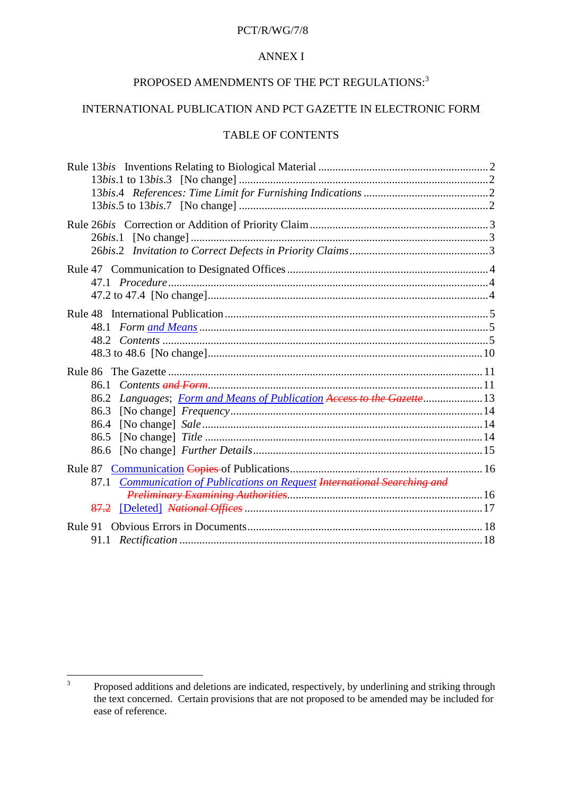#### PCT/R/WG/7/8

#### **ANNEXI**

# PROPOSED AMENDMENTS OF THE PCT REGULATIONS:  $^{\rm 3}$

# INTERNATIONAL PUBLIC ATION AND PCTGAZETT EINELECTRONIC FORM

# TABLEOF CONTENTS

| Rule13 bisInventionsRelatingtoBiologicalMaterial manufactured manufactured 2                                                    |  |
|---------------------------------------------------------------------------------------------------------------------------------|--|
|                                                                                                                                 |  |
|                                                                                                                                 |  |
| 48.1                                                                                                                            |  |
| Rule86TheGazette<br>86.1<br>Languages; FormandMeansofPublication AccesstotheGazette -13<br>86.2<br>86.3<br>86.4<br>86.5<br>86.6 |  |
| Rule <sub>87</sub><br>87.1 CommunicationofPublicationsonRe quest InternationalSearchingand<br>87.2                              |  |
| Rule91ObviousErrorsinDocuments                                                                                                  |  |

<sup>&</sup>lt;sup>3</sup> Proposed additions and deletions are indicated, respectively, by underlining and striking through the text concerned. Certain provisions that are not proposed to be amended may be included for ease of reference.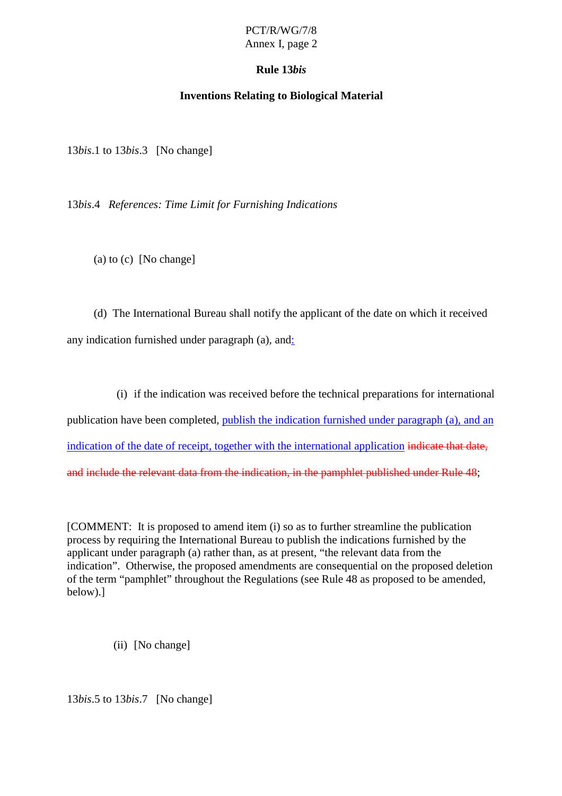# **Rule 13** *bis*

# **Inventions Relating to Biological Material**

13*bis*.1 to 13 *bis*.3 [No change]

13*bis*.4 *References: Time Limit for Furnishing Indications*

(a)  $to (c)$  [No change]

(d) The International Bureaushall notify the applicant of the date on which it received any indication furnished under paragraph  $(a)$ , and  $\therefore$ 

(i) if the indication was received before the technical preparations for international

publication have been completed, publish the indication furnished und erparagraph (a), and an indication of the date of receipt, to gether with the international application indicate that date, and include the relevant data from the indication, in the pamphlet published under Rule 48  $\hspace{1cm}$ ;

[COMMENT:Itisproposed to amenditem (i) so as to further streamline the publication process by requiring the International Bureau to publish the indications furnished by the  $a$ pplicant under paragraph  $(a)$ rather than, as at present, "the relevant data from the indication". Otherwise, the proposed amendments are consequential on the proposed deletion of the term "pamphlet" throughout the Regulations (see Rule 48 as proposed to be amended, below).]

(ii) [Nochange]

13*bis*.5 to 13 *bis*.7 [No change]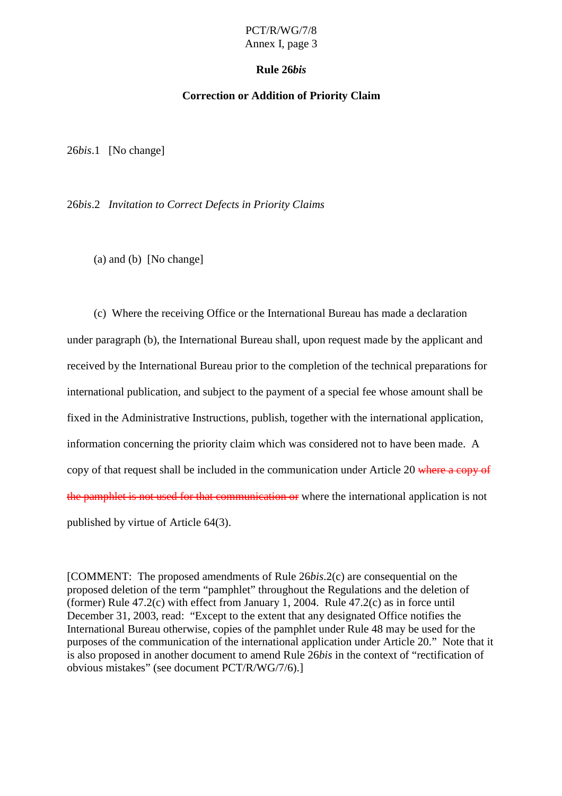# **Rule 26** *bis*

#### **Correction or Addition of Priorit y Claim**

26*bis*.1 [Nochange]

26*bis*.2 *Invitation to Correct Defects in Priority Claims*

 $(a)$  and  $(b)$  [No change]

(c) Where the receiving Office or the International Bureau has made a declaration under paragraph (b), the International Bureau shall, upon request made by the applicant and received by the International Bureau prior to the completion of the technical preparations for international publication, and subject to the payment of a special fee whose amount shall be fixed in the Administrative Instructions, publish, together with the international application, information concerning the priority claim which was considered not to have been made. A copy of that requests hall be included in the communication under Article 20 where a copy of the pamphle tis not used for that communication or where the international application is not published by virtue of Article 64(3).

[COMMENT: The proposed amendments of Rule 26*bis*.2(c) are consequential on the proposed deletion of the term "pamphlet" throughout the Regulations and the deletion of (former) Rule  $47.2$ (c) with effect from January 1, 2004. Rule  $47.2$ (c) as inforce until December 31, 2003, read: "Except to the extent that any designated Office notifies the International Bureau otherwise, copies of the pa mphlet under Rule 48 may be used for the purposes of the communication of the international application under Article 20." Note that it is also proposed in another document to amend Rule 26 *bis* in the context of "rectification of obvious mistakes" (seedoc ument PCT/R/WG/7/6).]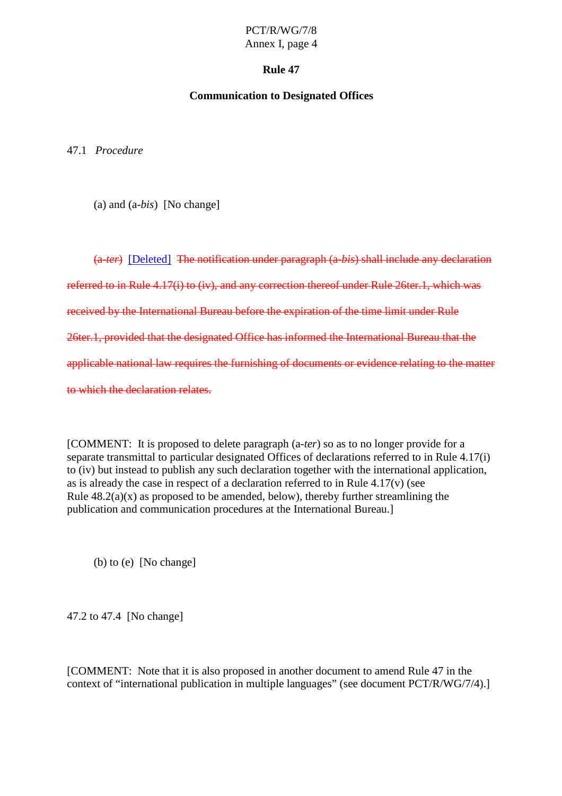#### **Rule 47**

#### **Communication to Designated Offices**

47.1 *Procedure*

(a) and (a-*bis*) [Nochange]

(a-*ter*) [Deleted] Thenotification underparagraph (a -*bis*) shall include any declaration referred to in Rule 4.17(i) to (iv), and any corr ection thereof under Rule 26ter.1, which was received by the International Bureau before the expiration of the time limit under Rule 26ter.1, provided that the designated Office has informed the International Bureau that the applicablenational law require sthe furnishing of documents or evidence relating to the matter to which the declaration relates.

[COMMENT: It is proposed to delete paragraph (a -*ter*) so as to no longer provide for a separate transmittal to particular designated Offices of declarations referred to in Rule 4.17(i) to (iv) but instead to publish any such declaration to gether with the international application,  $as is already the case in respect of a declaration referred to in Rule 4.17(v) (see$ Rule  $48.2(a)(x)$  as proposed to be amended, belo w), thereby further streamlining the publication and communication procedures at the International Bureau.]

 $(b)$  to  $(e)$  [No change]

47.2 to 47.4 [Nochange]

[COMMENT: Note that it is also proposed in another document to amend Rule 47 in the contextof " international publication in multiple languages" (seedocument PCT/R/WG/7/4).]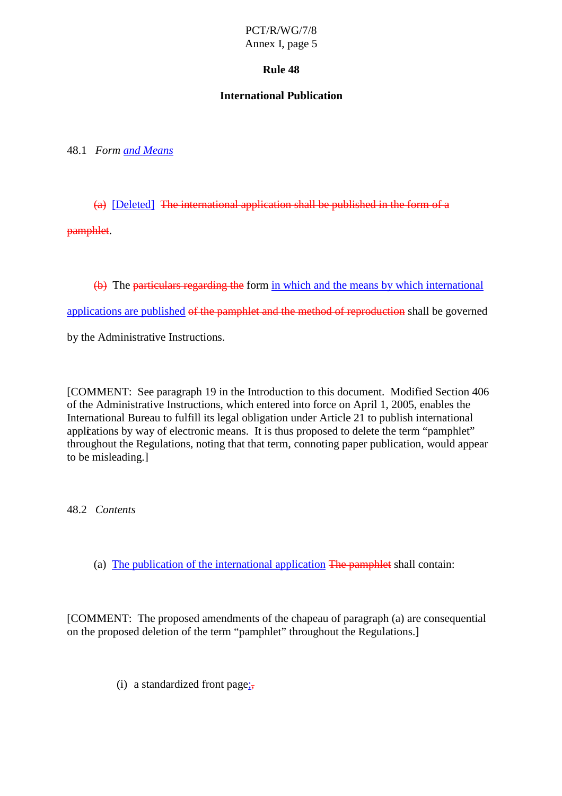# **Rule 48**

# **International Publication**

48.1 *Form and Means*

 $(a)$  [Deleted] The international applications hall be published in the form of a

pamphlet.

(b) The particular steps reling the form in which and the means by which international

applications are published of the pamphlet and the method of reproduction shall be governed

by the Administrative Instructions.

[COMMENT: See paragraph 19 in the Introduction to this document. Modified Section 406 of the Administrative Instructions, which entered into force on April 1, 2005, enables the International Bureau to fulfill its legal obligation under Article 21 to publish international applications by way of electronic means. It is thus proposed to delete the term "pamphlet" throughout the Regulations, noting that that term, connoting paper publication, would appear to be misleading.]

48.2 *Contents*

(a) The publication of the internationa lapplication The pamphlet shall contain:

[COMMENT: The proposed amendments of the chapeau of paragraph (a) are consequential on the proposed deletion of the term "pamphlet" throughout the Regulations.]

(i) a standardized front page  $\frac{1}{2}$ ;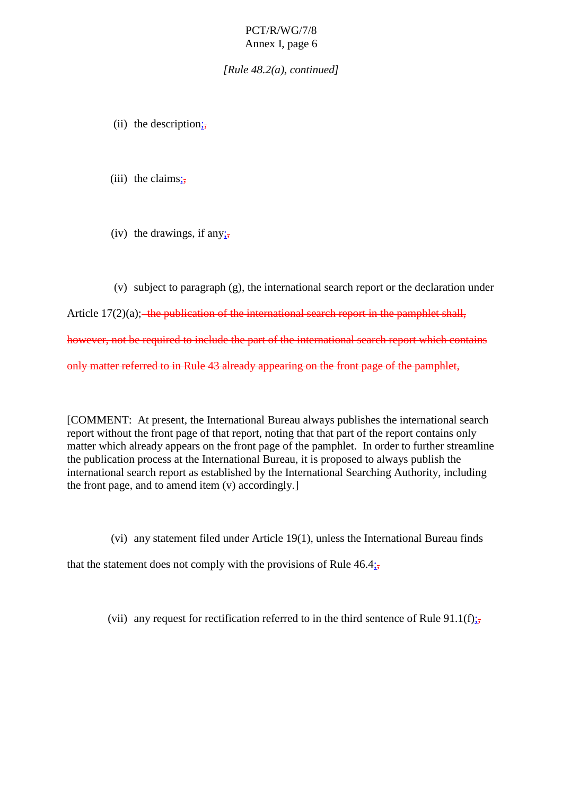*[Rule 48.2(a), cont inued]*

- (ii) the description  $\mathbf{G}$
- (iii) the<br>claims  $;$
- (iv) the drawings, if any  $\frac{1}{2}$

(v) subject to paragraph  $(g)$ , the international search report or the declaration under Article  $17(2)(a)$ ; the publication of the international search report in the pamphlet sheal, however, not be required to include the part of the international search report which contains only matter referred to in Rule 43 already appearing on the front page of the pamphlet,

[COMMENT:Atpresent,the International Bureau always publishes the international search report without the front page of that report, noting that that part of the report contains only matter which already appears on the front page of the pamphlet. In order to further streamline the publication process at the Internation al Bureau, it is proposed to always publish the international search report as established by the International Searching Authority, including the front page, and to amend item  $(v)$  accordingly.

(vi) any statement filed under Article  $19(1)$ , unless the Int ernational Bureau finds

that the statement does not comply with the provisions of Rule  $46.4;$ ,

(vii) any request for rectification referred to in the third sentence of Rule 91.1(f);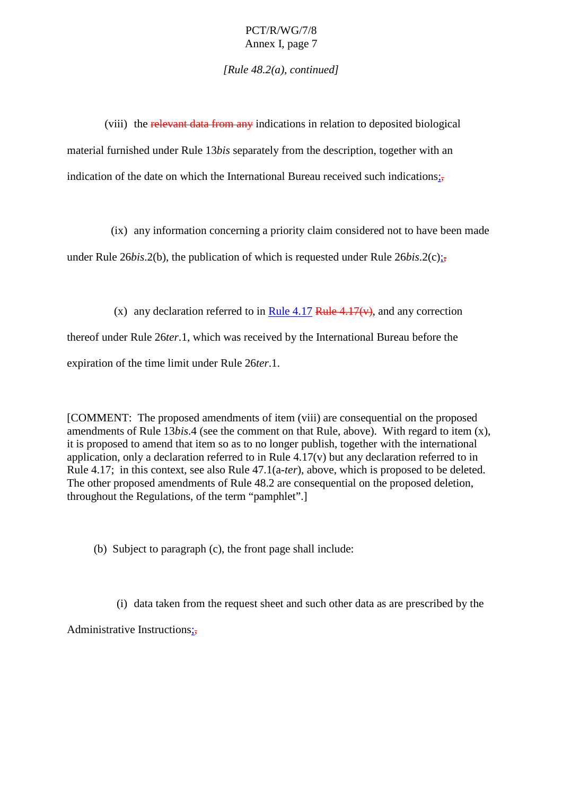*[Rule 48.2(a), continued]*

(viii) the relevant data from any indications in relation to deposited biological material furnished under Rule 13*bis* separately from the description, to gether with an indication of the date on which the International Bureau received such indications  $\frac{1}{27}$ 

(ix) any information concerning a priority claim considered not to have been made

under Rule  $26$  *bis*.  $2(b)$ , the publication of which is requested under Rule  $26$  *bis*.  $2(c)$ ;

(x) any declaration referred to in Rule 4.17 Rule 4.17(v), and any correction thereofunder Rule 26*ter*.1, which was received by the Integrational Bureau before the expiration of the time limit under Rule 26 *ter.* 1.

[COMMENT:The proposed amendments of item (viii) are consequential on the proposed amendments of Rule 13*bis*.4 (see the comment on that Rule, above). With regard to item (x), it is proposed to amend that item so as to no longer publish, to gether with the international application, only a declaration referred to in Rule  $4.17(v)$  but any declaration referred to in Rule 4.17; in this context, see also Rule  $47.1(a-*ter*)$ , above, which i sproposed to be deleted. The other proposed amendments of Rule 48.2 are consequential on the proposed deletion, throughout the Regulations, of the term "pamphlet".

(b) Subject to paragraph  $(c)$ , the front page shall include:

(i) datataken from the requestsheet and such other data as are prescribed by the

Administrative Instructions ;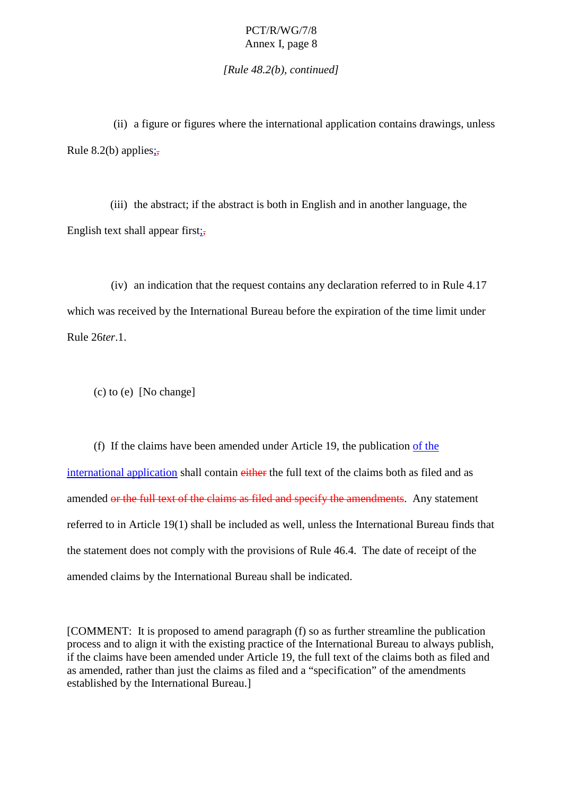*[Rule 48.2(b), continued]*

(ii) a figure or figures where the international application contains drawings, unless Rule 8.2(b) applies  $\frac{1}{2}$ 

(iii) the abstract; if the abstract is actis both in English and in another language, the English texts hall appear first  $\frac{1}{2}$ ;

(iv) anindication that the request contains any declaration referred to in Rule 4.17 which was received by the International Bureau before the expiration of the time li mitunder Rule 26 *ter*.1.

 $(c)$  to  $(e)$  [No change]

(f) If the claims have been amended under Article 19, the publication of the international application shall contain either the full text of the claims both as filed and as amended orthe full text of the claims as filed and specify the amendments . Any statement referred to in Article 19(1) shall be included as well, unless the International Bureau finds that the statement does not comply with the provisions of Rule 46.4. The date of receipt of the amended claims by the International Bureau shall be indicated.

[COMMENT: It is proposed to amend paragraph (f) so as further streamline the publication process and to alignit with the existing practice of the International Bureau to always publish, if the clai mshave been amended under Article 19, the full text of the claims both as filed and as amended, rather than just the claims as filed and a "specification" of the amendments established by the International Bureau.]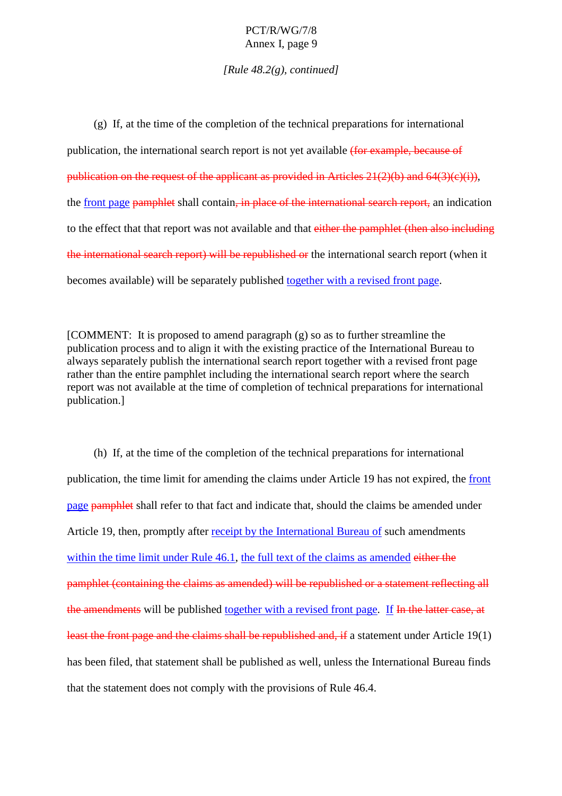*[Rule 48.2(g), continued]*

 $(g)$  If, att he time of the completion of the technical preparations for international publication, the international search report is not yet available (for example, because of  $publication on the request of the applications provided in Articles 21(2)(b) and 64(3)(c)(i)$ ), the front page pamphlets hall contain , in place of the international search report, an indication to the effect that that report was not available and that either the pamphlet (then also including the international search report) will be republished or the international search report (when it becomes available) will be separately published together with a revised front page.

 $[COMMENT: It is proposed to a mend paragraph(g) so a stofur the extreme amline the$ publication process and to alignity it hte heats time practice of the International Bureau to always separately publish the international search report to gether with a revised front page rather than the entire pamphlet including the international search report where the search report was not available at the time of completion of technical preparations for international publication.]

(h) If, at the time of the completion of the technical preparations for international publication, the time limit for amending the claims under Article 19 has not expired, the front page pamphletshall refer to that fact and indicate that, should the claims be amended under Article 19, then, promptly after receipt by the International Bureau of such amendments within the time limit under Rule 46.1, the full text of the claim s as amended either the pamphlet(containing the claims as amended) will be republished or a statement reflecting all the amendments will be published together with a revised front page . If In the latter case, at least the front page and the claims shall be republished and, if a statement under Article 19(1) has been filed, that statements hall be published as well, unless the International Bureau finds that the statement does not comply with the provisions of Rule 46.4.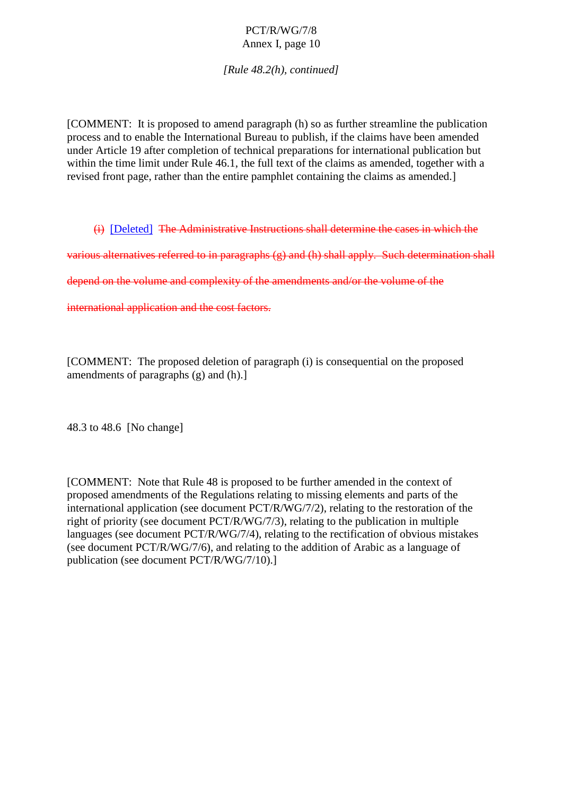*[Rule 48.2(h), continued]*

[COMMENT: It is proposed to amend paragraph (h) so as further streamline the publication process and to enable the International Bureau to publish, if the claims have been amended under Article 19 after completion of technical preparations for international public ation but within the time limit under Rule 46.1, the full text of the claims as amended, to gether with a revised front page, rather than the entire pamphlet containing the claims as amended.]

(i) [Deleted] The Administrative Instructions shall determine the cases in which the

various alternatives referred to inparagraphs (g) and (h) shall apply. Such determination shall

depend on the volume and complexity of the amendments and/or the volume of the

international application and the cost factors.

[COMMENT:The proposed deletion of paragraph (i) is consequential on the proposed  $amendments of paragraphs(g) and (h).]$ 

48.3 to 48.6 [No change]

[COMMENT: Note that Rule 48 is proposed to be further amended in the context of proposed amendments of the Regulat ions relating to missing elements and parts of the international application (seed ocument PCT/R/WG/7/2), relating to the restoration of the right of priority (seed ocument PCT/R/WG/7/3), relating to the publication in multiple languages (seedocument PCT/ R/WG/7/4), relating to the rectification of obvious mistakes (see document PCT/R/WG/7/6), and relating to the addition of Arabic as a language of publication (seedocument PCT/R/WG/7/10).]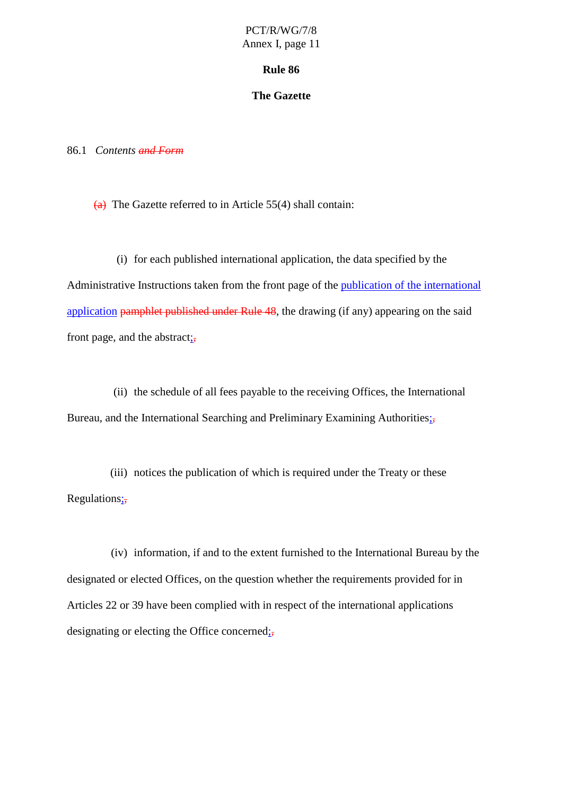#### **Rule 86**

#### **The Gazette**

86.1 Contents **and Form** 

 $\overline{(a)}$  The Gazettere ferred to in Article 55(4) shall contain:

(i) for each published international application, the data specified by the Administrative Instructions taken from the front page of the publication of the international application  $p$ amphlet published under Rule  $48$ , the drawing (if any) appearing on the said front page, and the abstract  $\frac{1}{2}$ ;

(ii) the schedule of all fees payable to the receiving Offices, the International Bureau, and the International Searching and Preliminary Examining Authorities  $\frac{1}{27}$ 

(iii) noticest hepublication of which is required under the Treaty or these Regulations;

(iv) information, if and to the extent furnished to the International Bureau by the designated or elected Offices, on the question whether the requirements provided for in Articles 22 or 39 have been complied with in respect of the international applications designating or electing the Office concerned  $\frac{1}{27}$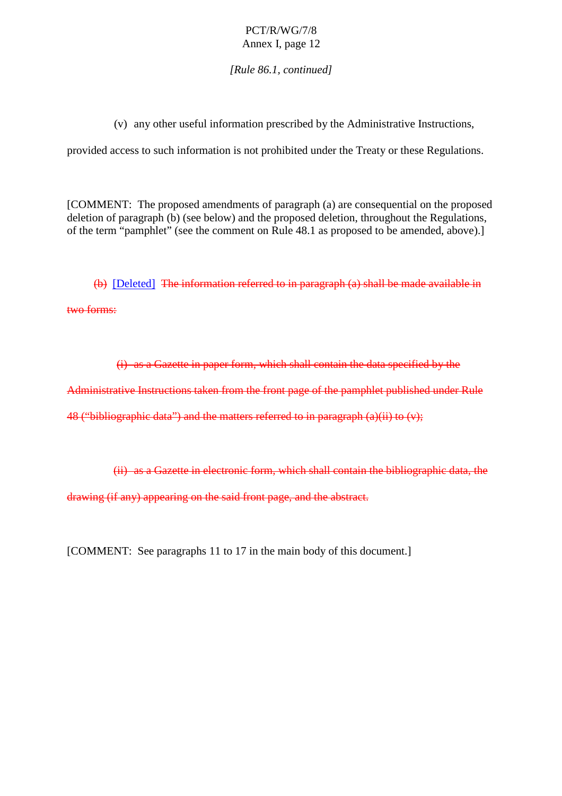*[Rule 86.1, continued]*

(v) any other useful information prescribed by the Administrative Instructions,

provided access to such i nformation is not prohibited under the Treaty or these Regulations.

[COMMENT:The proposed amendments of paragraph (a) are consequential on the proposed deletion of paragraph (b) (see below) and the proposed deletion, throughout the Regulations, of the te rm "pamphlet" (see the comment on Rule 48.1 as proposed to be amended, above).]

 $(b)$  [Deleted] The information referred to inparagraph  $(a)$  shall be made available in two forms:

(i) as a Gazette in paper form, which shall contain the data specified by the he Administrative Instructions taken from the front page of the pamphlet published under Rule  $48$  ("bibliographic data") and the matters referred to inparagraph  $(a)(ii)$  to  $(v)$ ;

 $(i)$  as a Gazette inelectronic form, which shall contain the bibliographic da ta, the drawing (if any) appearing on the said front page, and the abstract.

[COMMENT:Seeparagraphs 11 to 17 in the main body of this document.]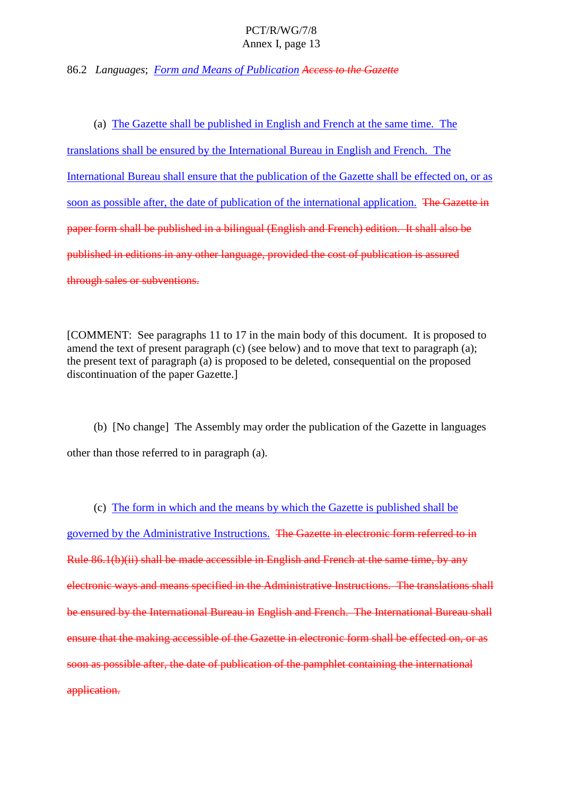86.2 *Languages*; *FormandMeansofPublication AccesstotheGazette* 

(a) The Gazette shall be published in English and French at the same time. The translations shall be ensured by the International Bureau in English and French. The International Bureau shall ensure that the publication of the Gazett eshall be effected on, or as soon as possible after, the date of publication of the international application. The Gazette inpaperform shall be published in a bilingual (English and French) edition. It shall also be published ineditions in any other language, provided the cost of publication is assured through sales or subventions.

[COMMENT: See paragraphs 11 to 17 in the main body of this document. It is proposed to amend the text of present p aragraph  $(c)$  (see below) and to move that text to paragraph  $(a)$ ; the present text of paragraph (a) is proposed to be deleted, consequential on the proposed discontinuation of the paper Gazette.]

(b) [No change] The Assembly may order the publication of the Gazette in languages other than those referred to inparagraph  $(a)$ .

(c) The form in which and the means by which the Gazette is published shall be governed by the Administrative Instructions. The Gazette inelectronic form referred to in Rule 86.1( b)(ii) shall be made accessible in English and French at the same time, by any electronic ways and means specified in the Administrative Instructions. The translations shall beensured by the International Bureau in English and French. The International Bureau shall ensure that the making accessible of the Gazette inelectronic form shall be effected on, or as soon as possible after, the date of publication of the pamphlet containing the international application.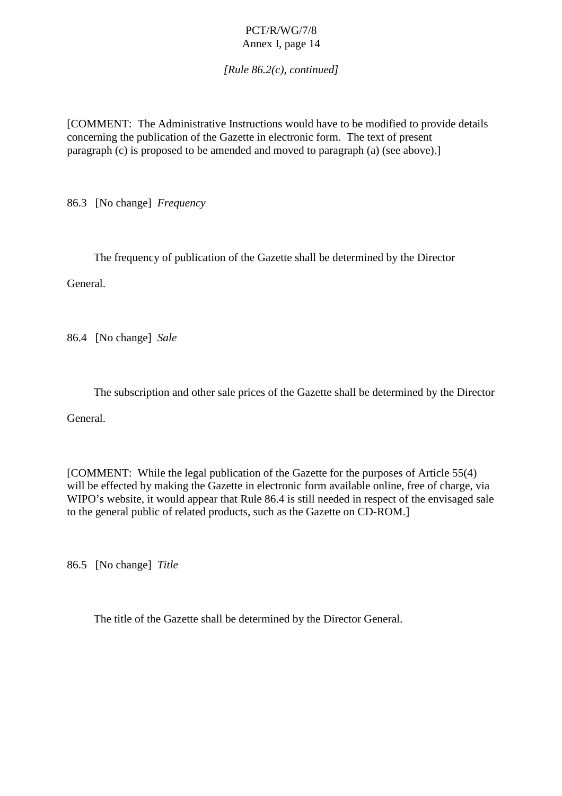*[Rule 86.2(c), continued]*

[COMMENT:The AdministrativeInstructionswouldhavetobemodified to provide details concerning the publication of the Gazette in electronic form. The text of present paragraph (c) is proposed to be amended and moved to paragraph (a) (see above).]

86.3 [No change] *Frequency*

The frequency of publication of the Gazette shall be determined by the Director

General.

86.4 [No change] *Sale*

The subscription and other sale prices of the Gazette shall be determined by the Director

General.

[COMMENT: While the legal pub lication of the Gazette for the purposes of Article 55(4) will be effected by making the Gazette in electronic form available online, free of charge, via WIPO's we bsite, it would appear that Rule 86.4 is still needed in respect of the envisaged sale to the general public of related products, such as the Gazette on CD -ROM.]

86.5 [No change] *Title*

The title of the Gazetteshall be determined by the Director General.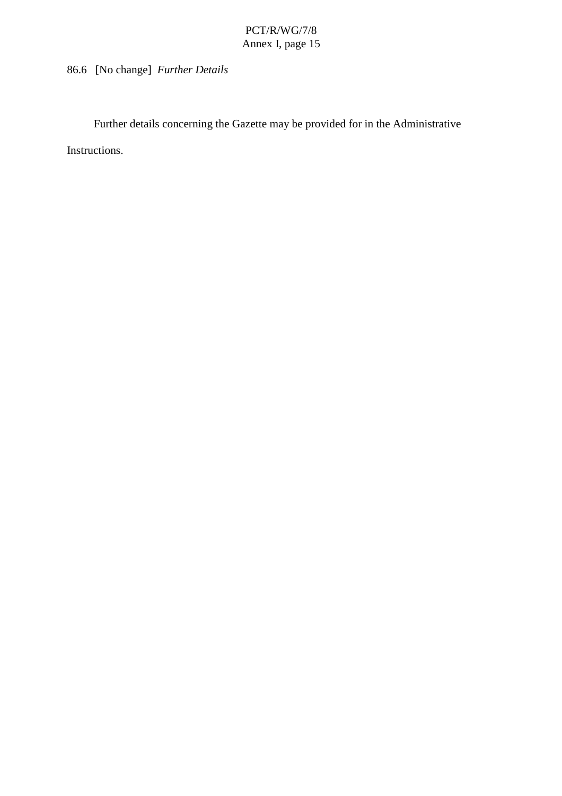Furtherdetails concerning the Gazette may be provide dfor in the Administrative

Instructions.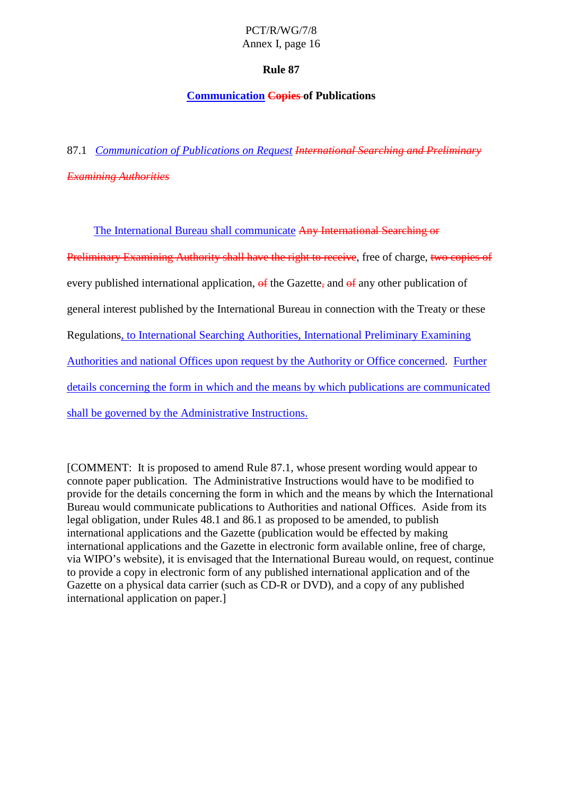# **Rule 87**

# **Communication Copies of Publications**

87.1 *Communication of Publications on Request International Searching and Preliminary Examining Authorities*

The International Bureau shall communicate Any International Searching or-

Preliminary Examining Authority shall have the right to receive - free of charge, two copies of every published international application,  $\theta$  fthe Gazette  $\theta$ , and  $\theta$  fany other publication of general interest published by the International Bure au inconnection with the Treaty or these Regulations, to International Searching Authorities, International Preliminary Examining Authorities and national Offices upon request by the Authority or Office concerned Further details concerning the form in which and the means by which publications are communicated shall be governed by the Administrative Instructions.

[COMMENT: It is proposed to amend Rule 87.1, whose present wording would appear to connote paper publication. The Administrative Instructions would have to be modified to provide for the details concerning the form in which and the means by which the International Bureau would communicate publications to Authorities and national Offices. Aside from its legal obligation, under Rules 48.1 and 86. 1 as proposed to be amended, to publish international applications and the Gazette (publication would be effected by making international applications and the Gazette inelectronic form available online, free of charge, via WIPO's website), it is envisaged that the International Bureau would, on request, continue to provide a copy in electronic form of any published international application and of the Gazette on a physical data carrier (such as CD -R or DVD), and a copy of any published international applic ation on paper.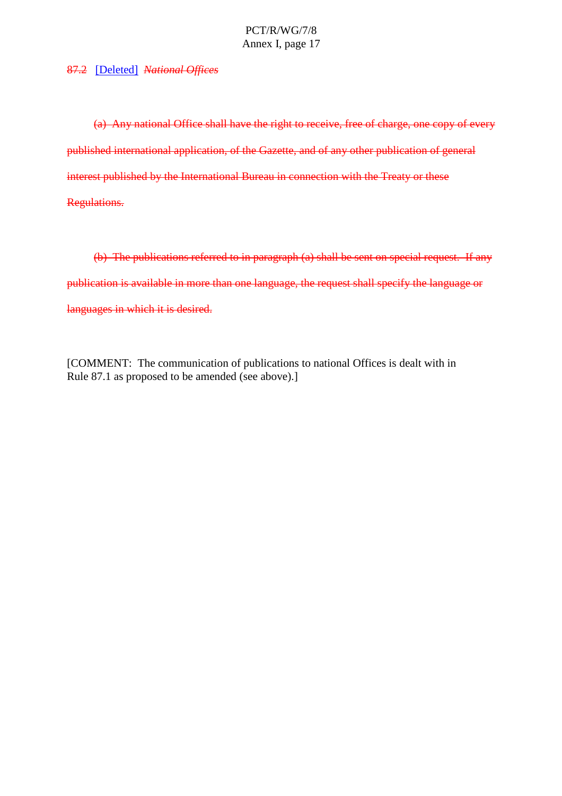87.2 [Deleted] *NationalOffices* 

(a) Anynational Office shall have the right to receive, free of charge, one copy of every published international application, of the Gazette, and of any other publication of general interest published by the International Bureau inconnection with the Treaty or these Regulations.

(b) The publications referred to inparagraph (a) shall be sentons pecial request. If any publication is available in more than one language, the request shall specify the language orlanguages in which it is desired.

[COMMENT:The communication of publications to national Offices is dealt within Rule 87.1 as proposed to be amended (see above).]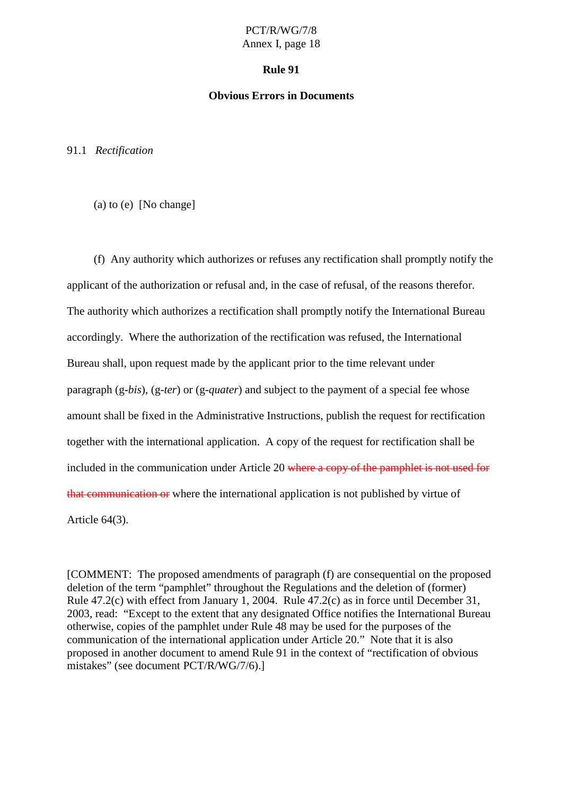#### **Rule 91**

#### **Obvious Errors in Documents**

91.1 *Rectification*

(a) to (e)  $[Note]$ 

(f) Any authority which authorizes or refuses any rectification shall promptly notify the applicant of the authorization or refusal and, in the case of refusal, of the reasons therefor. The authority which authorizes are ctification shall promptly vnotify the International Bureau accordingly. Where the authorization of the rectification was refused, the International Bureaushall, upon request made by the applicant prior to the time relevant under paragraph (g-*bis*), (g-*ter*) or (g-*quater*) and subject to the payment of a special fee whose amount shall be fixed in the Administrative Instructions, publish the request for rectification together with the international application. A copy of the request for rectification shall be included in the communic ation under Article 20 where a copy of the pamphletis not used for that communication or where the international application is not published by virtue of Article 64(3).

[COMMENT: The proposed amendments of paragraph (f) are consequential on the proposed deletion of the term "pamphlet" throughout the Regulations and the deletion of (former) Rule 47.2(c) with effect from January 1, 2004. Rule 47.2(c) as inforce until December 31, 2003, read: "Except to the extent that any designated Office notifies the International Bureau otherwise, copies of the pamphlet under Rule 48 may be used for the purposes of the communication of the international application under Article 20." Note that it is also proposedinanotherdocument to amend Rule 91 in the context of "rectification of obvious mistakes" (seedocument PCT/R/WG/7/6).]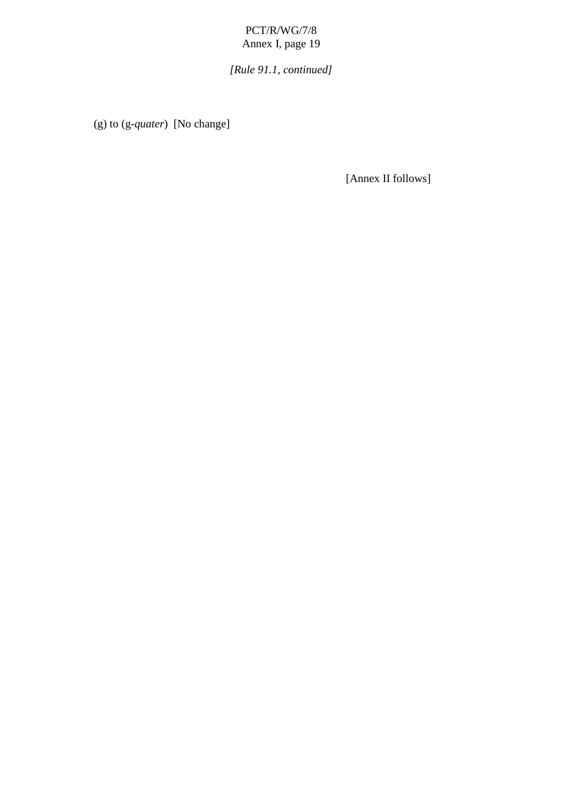*[Rule 91.1, continued]*

(g) to (g -*quater*) [No change]

[AnnexIIfollows]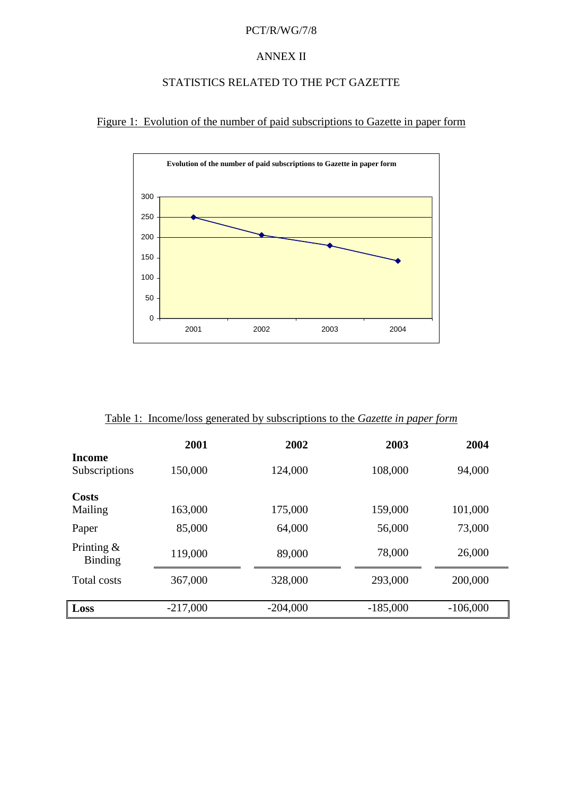#### PCT/R/WG/7/8

#### **ANNEXII**

# STATISTICSRELATEDTOTHEPCTGAZETTE

Figure 1: Evolution of the number of paid subscriptions to Ga zette in paper form



| Table1:Income/lossgeneratedbysubscriptionstothe<br>Gazetteinpaperform |            |            |            |            |  |
|-----------------------------------------------------------------------|------------|------------|------------|------------|--|
| Income                                                                | 2001       | 2002       | 2003       | 2004       |  |
| Subscriptions                                                         | 150,000    | 124,000    | 108,000    | 94,000     |  |
| <b>Costs</b><br>Mailing                                               | 163,000    | 175,000    | 159,000    | 101,000    |  |
| Paper                                                                 | 85,000     | 64,000     | 56,000     | 73,000     |  |
| Printing $\&$<br><b>Binding</b>                                       | 119,000    | 89,000     | 78,000     | 26,000     |  |
| <b>Totalcosts</b>                                                     | 367,000    | 328,000    | 293,000    | 200,000    |  |
| Loss                                                                  | $-217,000$ | $-204,000$ | $-185,000$ | $-106,000$ |  |